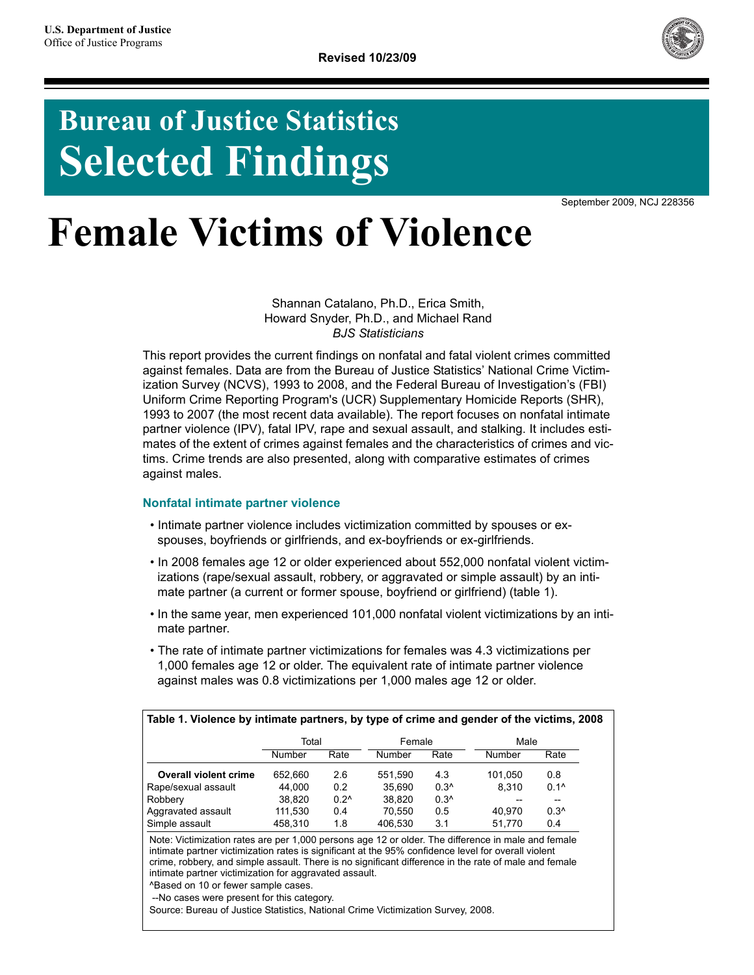

# **Bureau of Justice Statistics Selected Findings**

September 2009, NCJ 228356

# **Female Victims of Violence**

Shannan Catalano, Ph.D., Erica Smith, Howard Snyder, Ph.D., and Michael Rand *BJS Statisticians*

This report provides the current findings on nonfatal and fatal violent crimes committed against females. Data are from the Bureau of Justice Statistics' National Crime Victimization Survey (NCVS), 1993 to 2008, and the Federal Bureau of Investigation's (FBI) Uniform Crime Reporting Program's (UCR) Supplementary Homicide Reports (SHR), 1993 to 2007 (the most recent data available). The report focuses on nonfatal intimate partner violence (IPV), fatal IPV, rape and sexual assault, and stalking. It includes estimates of the extent of crimes against females and the characteristics of crimes and victims. Crime trends are also presented, along with comparative estimates of crimes against males.

# **Nonfatal intimate partner violence**

- Intimate partner violence includes victimization committed by spouses or exspouses, boyfriends or girlfriends, and ex-boyfriends or ex-girlfriends.
- In 2008 females age 12 or older experienced about 552,000 nonfatal violent victimizations (rape/sexual assault, robbery, or aggravated or simple assault) by an intimate partner (a current or former spouse, boyfriend or girlfriend) (table 1).
- In the same year, men experienced 101,000 nonfatal violent victimizations by an intimate partner.
- The rate of intimate partner victimizations for females was 4.3 victimizations per 1,000 females age 12 or older. The equivalent rate of intimate partner violence against males was 0.8 victimizations per 1,000 males age 12 or older.

|                              | Table 1. Violence by intimate partners, by type of crime and gender of the victims, 2008 |               |         |               |         |                          |
|------------------------------|------------------------------------------------------------------------------------------|---------------|---------|---------------|---------|--------------------------|
|                              | Total                                                                                    |               | Female  |               | Male    |                          |
|                              | Number                                                                                   | Rate          | Number  | Rate          | Number  | Rate                     |
| <b>Overall violent crime</b> | 652.660                                                                                  | 2.6           | 551.590 | 4.3           | 101.050 | 0.8                      |
| Rape/sexual assault          | 44.000                                                                                   | 0.2           | 35.690  | $0.3^{\circ}$ | 8.310   | $0.1^{\circ}$            |
| Robbery                      | 38,820                                                                                   | $0.2^{\circ}$ | 38.820  | $0.3^$        |         | $\overline{\phantom{a}}$ |
| Aggravated assault           | 111,530                                                                                  | 0.4           | 70.550  | 0.5           | 40.970  | $0.3^{\circ}$            |
| Simple assault               | 458.310                                                                                  | 1.8           | 406.530 | 3.1           | 51.770  | 0.4                      |
|                              |                                                                                          |               |         |               |         |                          |

Note: Victimization rates are per 1,000 persons age 12 or older. The difference in male and female intimate partner victimization rates is significant at the 95% confidence level for overall violent crime, robbery, and simple assault. There is no significant difference in the rate of male and female intimate partner victimization for aggravated assault.

^Based on 10 or fewer sample cases.

--No cases were present for this category.

Source: Bureau of Justice Statistics, National Crime Victimization Survey, 2008.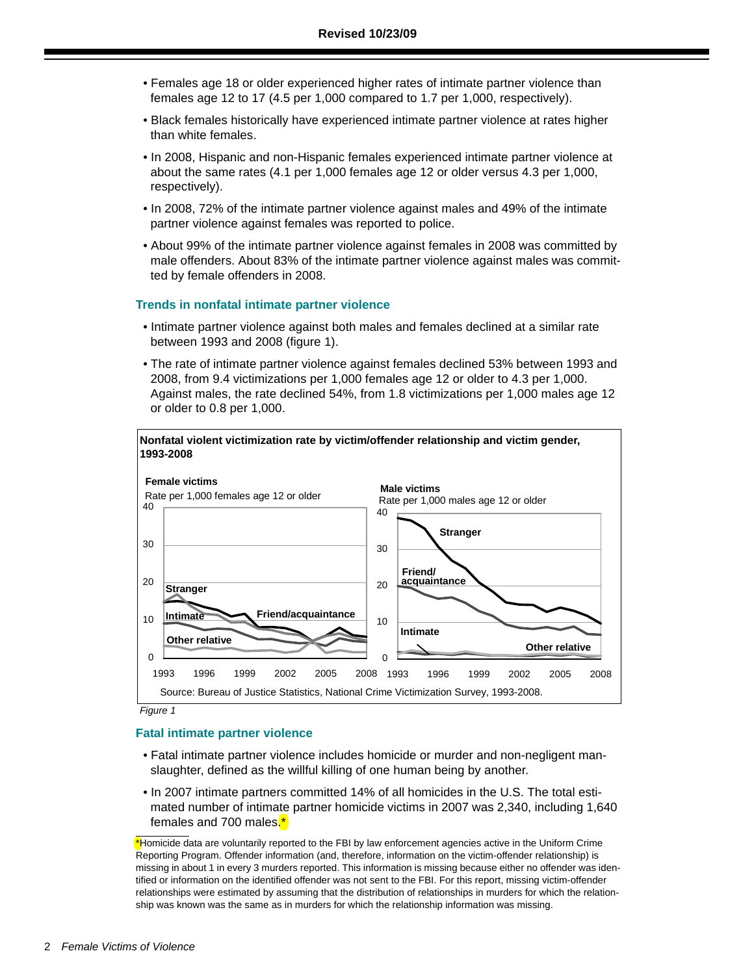- Females age 18 or older experienced higher rates of intimate partner violence than females age 12 to 17 (4.5 per 1,000 compared to 1.7 per 1,000, respectively).
- Black females historically have experienced intimate partner violence at rates higher than white females.
- In 2008, Hispanic and non-Hispanic females experienced intimate partner violence at about the same rates (4.1 per 1,000 females age 12 or older versus 4.3 per 1,000, respectively).
- In 2008, 72% of the intimate partner violence against males and 49% of the intimate partner violence against females was reported to police.
- About 99% of the intimate partner violence against females in 2008 was committed by male offenders. About 83% of the intimate partner violence against males was committed by female offenders in 2008.

#### **Trends in nonfatal intimate partner violence**

- Intimate partner violence against both males and females declined at a similar rate between 1993 and 2008 (figure 1).
- The rate of intimate partner violence against females declined 53% between 1993 and 2008, from 9.4 victimizations per 1,000 females age 12 or older to 4.3 per 1,000. Against males, the rate declined 54%, from 1.8 victimizations per 1,000 males age 12 or older to 0.8 per 1,000.



*Figure 1*

#### **Fatal intimate partner violence**

- Fatal intimate partner violence includes homicide or murder and non-negligent manslaughter, defined as the willful killing of one human being by another.
- In 2007 intimate partners committed 14% of all homicides in the U.S. The total estimated number of intimate partner homicide victims in 2007 was 2,340, including 1,640 females and 700 males.\*

<sup>\*</sup>Homicide data are voluntarily reported to the FBI by law enforcement agencies active in the Uniform Crime Reporting Program. Offender information (and, therefore, information on the victim-offender relationship) is missing in about 1 in every 3 murders reported. This information is missing because either no offender was identified or information on the identified offender was not sent to the FBI. For this report, missing victim-offender relationships were estimated by assuming that the distribution of relationships in murders for which the relationship was known was the same as in murders for which the relationship information was missing.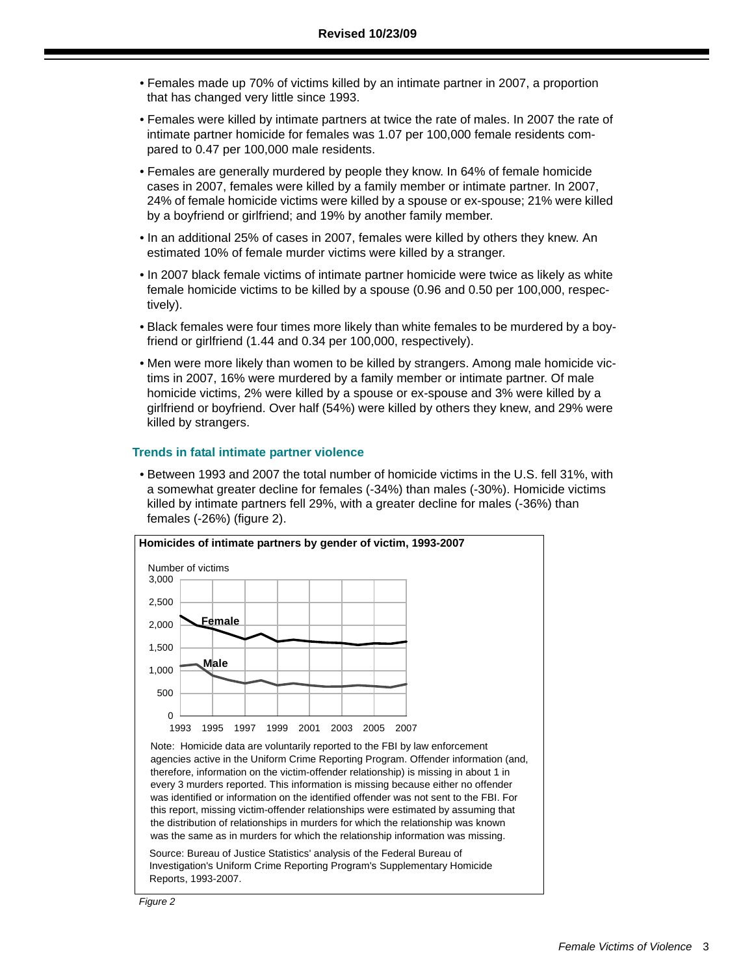- Females made up 70% of victims killed by an intimate partner in 2007, a proportion that has changed very little since 1993.
- Females were killed by intimate partners at twice the rate of males. In 2007 the rate of intimate partner homicide for females was 1.07 per 100,000 female residents compared to 0.47 per 100,000 male residents.
- Females are generally murdered by people they know. In 64% of female homicide cases in 2007, females were killed by a family member or intimate partner. In 2007, 24% of female homicide victims were killed by a spouse or ex-spouse; 21% were killed by a boyfriend or girlfriend; and 19% by another family member.
- In an additional 25% of cases in 2007, females were killed by others they knew. An estimated 10% of female murder victims were killed by a stranger.
- In 2007 black female victims of intimate partner homicide were twice as likely as white female homicide victims to be killed by a spouse (0.96 and 0.50 per 100,000, respectively).
- Black females were four times more likely than white females to be murdered by a boyfriend or girlfriend (1.44 and 0.34 per 100,000, respectively).
- Men were more likely than women to be killed by strangers. Among male homicide victims in 2007, 16% were murdered by a family member or intimate partner. Of male homicide victims, 2% were killed by a spouse or ex-spouse and 3% were killed by a girlfriend or boyfriend. Over half (54%) were killed by others they knew, and 29% were killed by strangers.

### **Trends in fatal intimate partner violence**

• Between 1993 and 2007 the total number of homicide victims in the U.S. fell 31%, with a somewhat greater decline for females (-34%) than males (-30%). Homicide victims killed by intimate partners fell 29%, with a greater decline for males (-36%) than females (-26%) (figure 2).



Source: Bureau of Justice Statistics' analysis of the Federal Bureau of Investigation's Uniform Crime Reporting Program's Supplementary Homicide Reports, 1993-2007.

*Figure 2*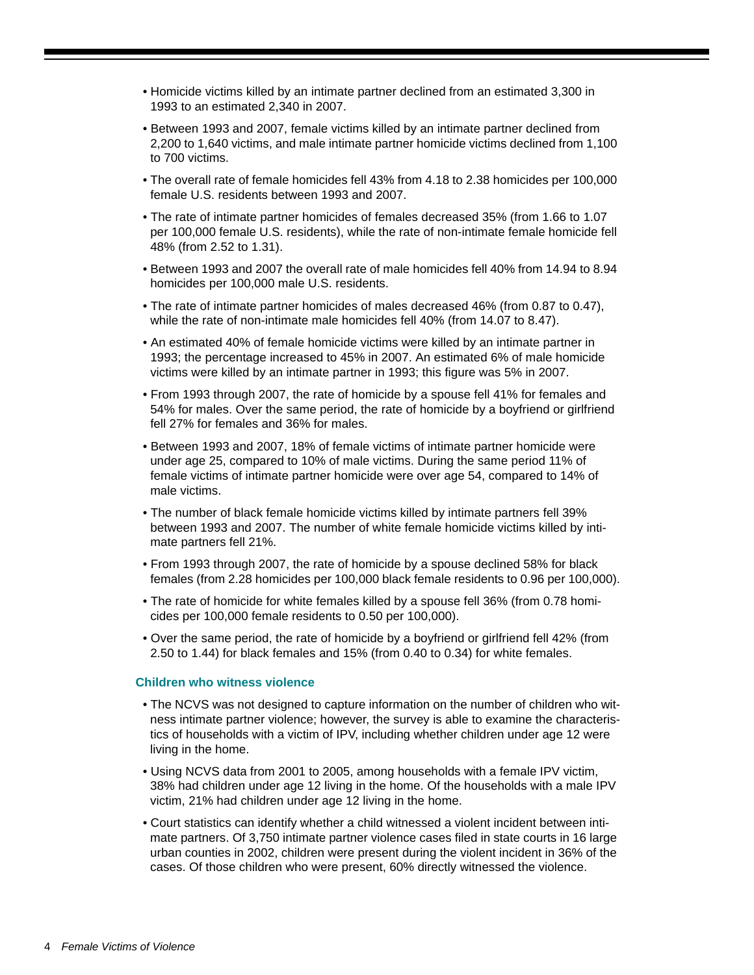- Homicide victims killed by an intimate partner declined from an estimated 3,300 in 1993 to an estimated 2,340 in 2007.
- Between 1993 and 2007, female victims killed by an intimate partner declined from 2,200 to 1,640 victims, and male intimate partner homicide victims declined from 1,100 to 700 victims.
- The overall rate of female homicides fell 43% from 4.18 to 2.38 homicides per 100,000 female U.S. residents between 1993 and 2007.
- The rate of intimate partner homicides of females decreased 35% (from 1.66 to 1.07 per 100,000 female U.S. residents), while the rate of non-intimate female homicide fell 48% (from 2.52 to 1.31).
- Between 1993 and 2007 the overall rate of male homicides fell 40% from 14.94 to 8.94 homicides per 100,000 male U.S. residents.
- The rate of intimate partner homicides of males decreased 46% (from 0.87 to 0.47), while the rate of non-intimate male homicides fell 40% (from 14.07 to 8.47).
- An estimated 40% of female homicide victims were killed by an intimate partner in 1993; the percentage increased to 45% in 2007. An estimated 6% of male homicide victims were killed by an intimate partner in 1993; this figure was 5% in 2007.
- From 1993 through 2007, the rate of homicide by a spouse fell 41% for females and 54% for males. Over the same period, the rate of homicide by a boyfriend or girlfriend fell 27% for females and 36% for males.
- Between 1993 and 2007, 18% of female victims of intimate partner homicide were under age 25, compared to 10% of male victims. During the same period 11% of female victims of intimate partner homicide were over age 54, compared to 14% of male victims.
- The number of black female homicide victims killed by intimate partners fell 39% between 1993 and 2007. The number of white female homicide victims killed by intimate partners fell 21%.
- From 1993 through 2007, the rate of homicide by a spouse declined 58% for black females (from 2.28 homicides per 100,000 black female residents to 0.96 per 100,000).
- The rate of homicide for white females killed by a spouse fell 36% (from 0.78 homicides per 100,000 female residents to 0.50 per 100,000).
- Over the same period, the rate of homicide by a boyfriend or girlfriend fell 42% (from 2.50 to 1.44) for black females and 15% (from 0.40 to 0.34) for white females.

# **Children who witness violence**

- The NCVS was not designed to capture information on the number of children who witness intimate partner violence; however, the survey is able to examine the characteristics of households with a victim of IPV, including whether children under age 12 were living in the home.
- Using NCVS data from 2001 to 2005, among households with a female IPV victim, 38% had children under age 12 living in the home. Of the households with a male IPV victim, 21% had children under age 12 living in the home.
- Court statistics can identify whether a child witnessed a violent incident between intimate partners. Of 3,750 intimate partner violence cases filed in state courts in 16 large urban counties in 2002, children were present during the violent incident in 36% of the cases. Of those children who were present, 60% directly witnessed the violence.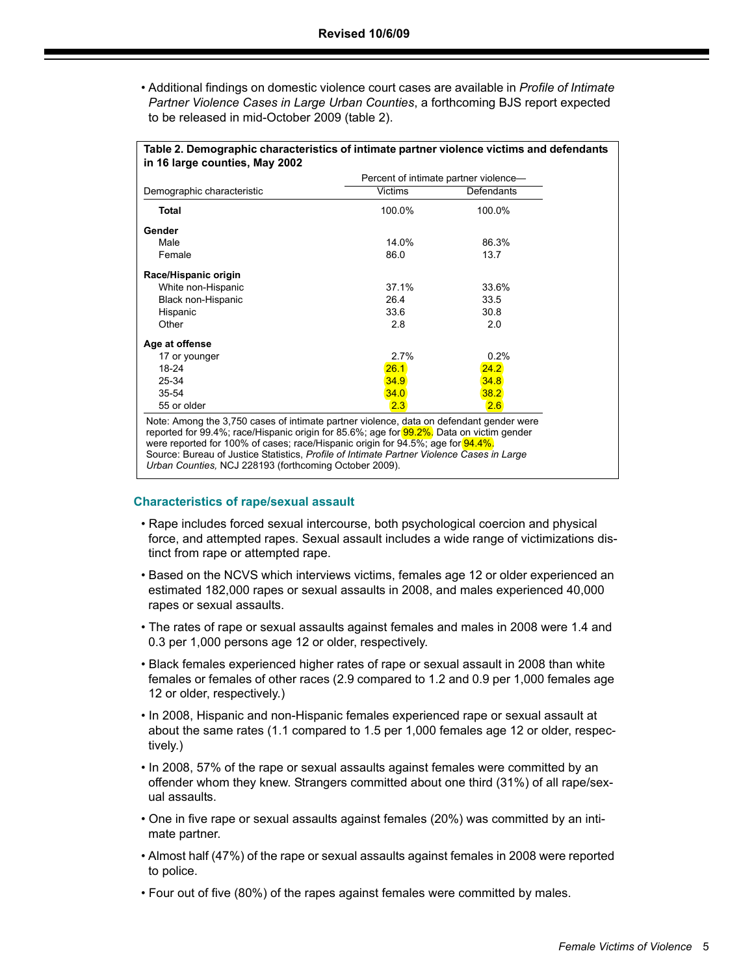• Additional findings on domestic violence court cases are available in *Profile of Intimate Partner Violence Cases in Large Urban Counties*, a forthcoming BJS report expected to be released in mid-October 2009 (table 2).

|                            | Percent of intimate partner violence- |                      |  |  |
|----------------------------|---------------------------------------|----------------------|--|--|
| Demographic characteristic | <b>Victims</b>                        | Defendants<br>100.0% |  |  |
| <b>Total</b>               | 100.0%                                |                      |  |  |
| Gender                     |                                       |                      |  |  |
| Male                       | 14.0%                                 | 86.3%                |  |  |
| Female                     | 86.0                                  | 13.7                 |  |  |
| Race/Hispanic origin       |                                       |                      |  |  |
| White non-Hispanic         | 37.1%                                 | 33.6%                |  |  |
| Black non-Hispanic         | 26.4                                  | 33.5                 |  |  |
| Hispanic                   | 33.6                                  | 30.8                 |  |  |
| Other                      | 2.8                                   | 2.0                  |  |  |
| Age at offense             |                                       |                      |  |  |
| 17 or younger              | 2.7%                                  | 0.2%                 |  |  |
| 18-24                      | 26.1                                  | 24.2                 |  |  |
| 25-34                      | 34.9                                  | 34.8                 |  |  |
| $35 - 54$                  | 34.0                                  | 38.2                 |  |  |
| 55 or older                | 2.3                                   | 2.6                  |  |  |

Source: Bureau of Justice Statistics, *Profile of Intimate Partner Violence Cases in Large Urban Counties,* NCJ 228193 (forthcoming October 2009).

# **Characteristics of rape/sexual assault**

- Rape includes forced sexual intercourse, both psychological coercion and physical force, and attempted rapes. Sexual assault includes a wide range of victimizations distinct from rape or attempted rape.
- Based on the NCVS which interviews victims, females age 12 or older experienced an estimated 182,000 rapes or sexual assaults in 2008, and males experienced 40,000 rapes or sexual assaults.
- The rates of rape or sexual assaults against females and males in 2008 were 1.4 and 0.3 per 1,000 persons age 12 or older, respectively.
- Black females experienced higher rates of rape or sexual assault in 2008 than white females or females of other races (2.9 compared to 1.2 and 0.9 per 1,000 females age 12 or older, respectively.)
- In 2008, Hispanic and non-Hispanic females experienced rape or sexual assault at about the same rates (1.1 compared to 1.5 per 1,000 females age 12 or older, respectively.)
- In 2008, 57% of the rape or sexual assaults against females were committed by an offender whom they knew. Strangers committed about one third (31%) of all rape/sexual assaults.
- One in five rape or sexual assaults against females (20%) was committed by an intimate partner.
- Almost half (47%) of the rape or sexual assaults against females in 2008 were reported to police.
- Four out of five (80%) of the rapes against females were committed by males.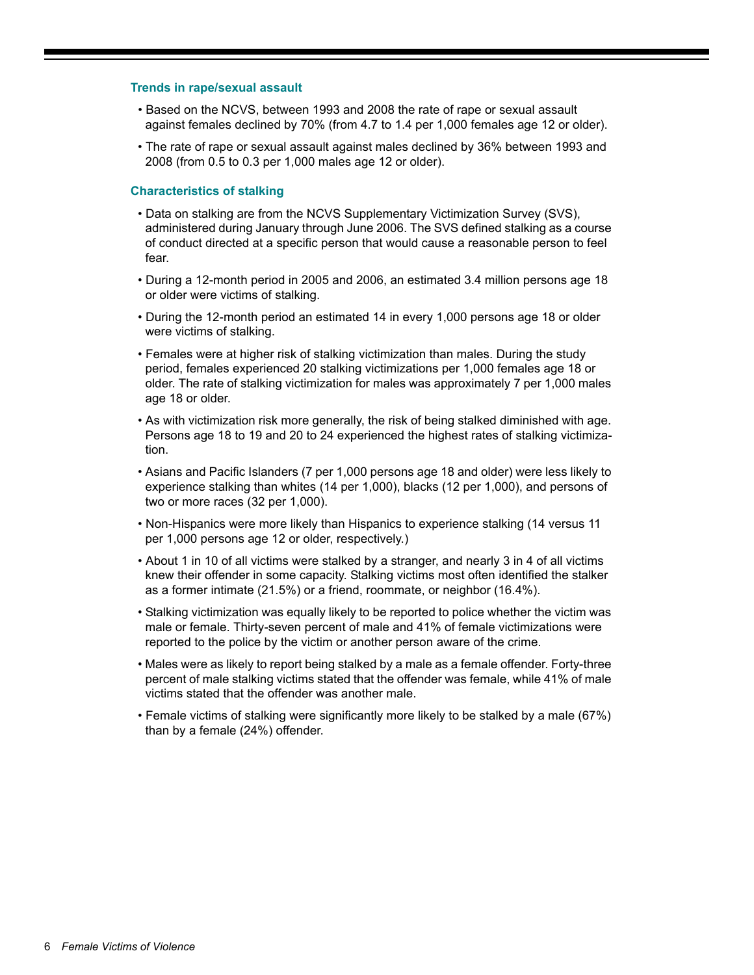### **Trends in rape/sexual assault**

- Based on the NCVS, between 1993 and 2008 the rate of rape or sexual assault against females declined by 70% (from 4.7 to 1.4 per 1,000 females age 12 or older).
- The rate of rape or sexual assault against males declined by 36% between 1993 and 2008 (from 0.5 to 0.3 per 1,000 males age 12 or older).

#### **Characteristics of stalking**

- Data on stalking are from the NCVS Supplementary Victimization Survey (SVS), administered during January through June 2006. The SVS defined stalking as a course of conduct directed at a specific person that would cause a reasonable person to feel fear.
- During a 12-month period in 2005 and 2006, an estimated 3.4 million persons age 18 or older were victims of stalking.
- During the 12-month period an estimated 14 in every 1,000 persons age 18 or older were victims of stalking.
- Females were at higher risk of stalking victimization than males. During the study period, females experienced 20 stalking victimizations per 1,000 females age 18 or older. The rate of stalking victimization for males was approximately 7 per 1,000 males age 18 or older.
- As with victimization risk more generally, the risk of being stalked diminished with age. Persons age 18 to 19 and 20 to 24 experienced the highest rates of stalking victimization.
- Asians and Pacific Islanders (7 per 1,000 persons age 18 and older) were less likely to experience stalking than whites (14 per 1,000), blacks (12 per 1,000), and persons of two or more races (32 per 1,000).
- Non-Hispanics were more likely than Hispanics to experience stalking (14 versus 11 per 1,000 persons age 12 or older, respectively.)
- About 1 in 10 of all victims were stalked by a stranger, and nearly 3 in 4 of all victims knew their offender in some capacity. Stalking victims most often identified the stalker as a former intimate (21.5%) or a friend, roommate, or neighbor (16.4%).
- Stalking victimization was equally likely to be reported to police whether the victim was male or female. Thirty-seven percent of male and 41% of female victimizations were reported to the police by the victim or another person aware of the crime.
- Males were as likely to report being stalked by a male as a female offender. Forty-three percent of male stalking victims stated that the offender was female, while 41% of male victims stated that the offender was another male.
- Female victims of stalking were significantly more likely to be stalked by a male (67%) than by a female (24%) offender.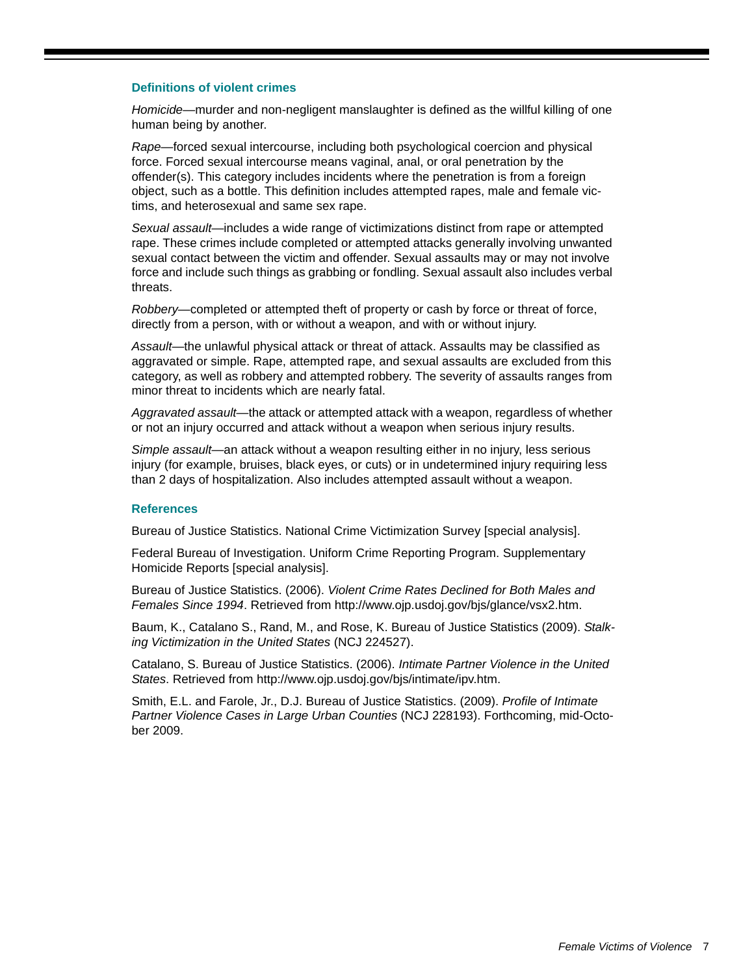### **Definitions of violent crimes**

*Homicide*—murder and non-negligent manslaughter is defined as the willful killing of one human being by another.

*Rape*—forced sexual intercourse, including both psychological coercion and physical force. Forced sexual intercourse means vaginal, anal, or oral penetration by the offender(s). This category includes incidents where the penetration is from a foreign object, such as a bottle. This definition includes attempted rapes, male and female victims, and heterosexual and same sex rape.

*Sexual assault*—includes a wide range of victimizations distinct from rape or attempted rape. These crimes include completed or attempted attacks generally involving unwanted sexual contact between the victim and offender. Sexual assaults may or may not involve force and include such things as grabbing or fondling. Sexual assault also includes verbal threats.

*Robbery*—completed or attempted theft of property or cash by force or threat of force, directly from a person, with or without a weapon, and with or without injury.

*Assault*—the unlawful physical attack or threat of attack. Assaults may be classified as aggravated or simple. Rape, attempted rape, and sexual assaults are excluded from this category, as well as robbery and attempted robbery. The severity of assaults ranges from minor threat to incidents which are nearly fatal.

*Aggravated assault*—the attack or attempted attack with a weapon, regardless of whether or not an injury occurred and attack without a weapon when serious injury results.

*Simple assault*—an attack without a weapon resulting either in no injury, less serious injury (for example, bruises, black eyes, or cuts) or in undetermined injury requiring less than 2 days of hospitalization. Also includes attempted assault without a weapon.

### **References**

Bureau of Justice Statistics. National Crime Victimization Survey [special analysis].

Federal Bureau of Investigation. Uniform Crime Reporting Program. Supplementary Homicide Reports [special analysis].

Bureau of Justice Statistics. (2006). *Violent Crime Rates Declined for Both Males and Females Since 1994*. Retrieved from http://www.ojp.usdoj.gov/bjs/glance/vsx2.htm.

Baum, K., Catalano S., Rand, M., and Rose, K. Bureau of Justice Statistics (2009). *Stalking Victimization in the United States* (NCJ 224527).

Catalano, S. Bureau of Justice Statistics. (2006). *Intimate Partner Violence in the United States*. Retrieved from http://www.ojp.usdoj.gov/bjs/intimate/ipv.htm.

Smith, E.L. and Farole, Jr., D.J. Bureau of Justice Statistics. (2009). *Profile of Intimate Partner Violence Cases in Large Urban Counties* (NCJ 228193). Forthcoming, mid-October 2009.